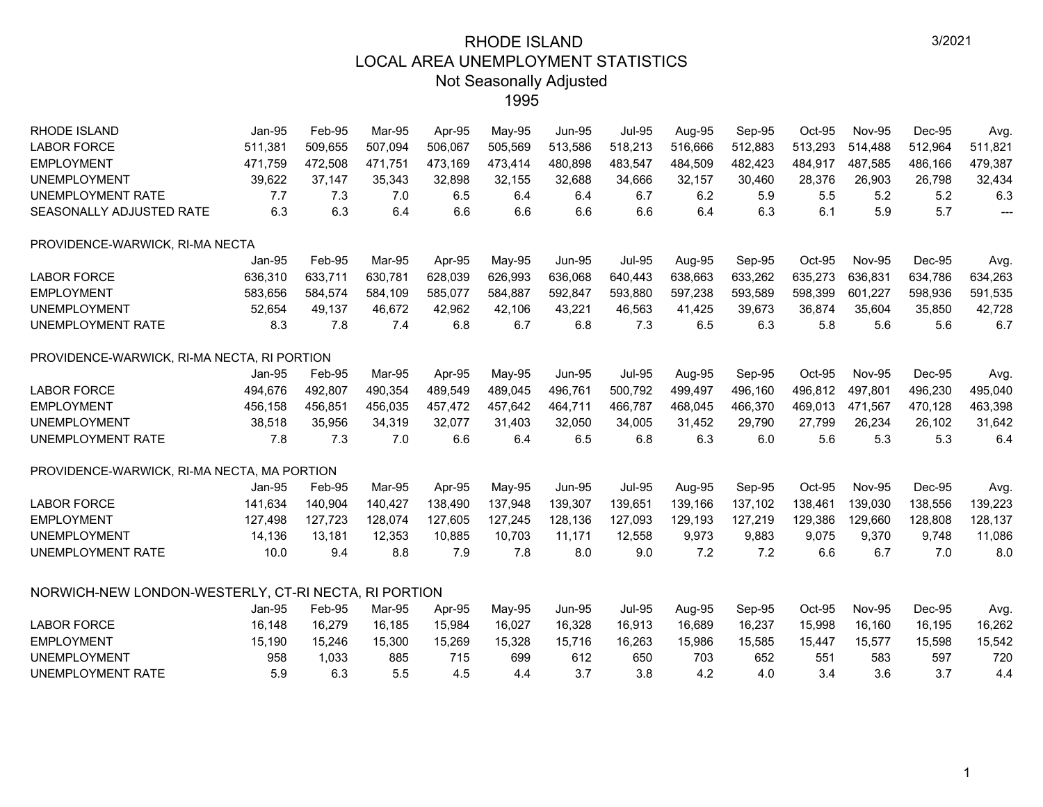| RHODE ISLAND                                         | Jan-95   | Feb-95  | Mar-95  | Apr-95  | May-95  | <b>Jun-95</b> | <b>Jul-95</b> | Aug-95  | Sep-95  | Oct-95  | <b>Nov-95</b> | Dec-95  | Avg.                     |
|------------------------------------------------------|----------|---------|---------|---------|---------|---------------|---------------|---------|---------|---------|---------------|---------|--------------------------|
| <b>LABOR FORCE</b>                                   | 511,381  | 509,655 | 507,094 | 506,067 | 505,569 | 513,586       | 518,213       | 516,666 | 512,883 | 513,293 | 514,488       | 512,964 | 511,821                  |
| <b>EMPLOYMENT</b>                                    | 471,759  | 472,508 | 471,751 | 473,169 | 473,414 | 480,898       | 483,547       | 484,509 | 482,423 | 484,917 | 487,585       | 486,166 | 479,387                  |
| <b>UNEMPLOYMENT</b>                                  | 39,622   | 37,147  | 35,343  | 32,898  | 32,155  | 32,688        | 34,666        | 32,157  | 30,460  | 28,376  | 26,903        | 26,798  | 32,434                   |
| UNEMPLOYMENT RATE                                    | 7.7      | 7.3     | 7.0     | 6.5     | 6.4     | 6.4           | 6.7           | 6.2     | 5.9     | 5.5     | 5.2           | 5.2     | 6.3                      |
| SEASONALLY ADJUSTED RATE                             | 6.3      | 6.3     | 6.4     | 6.6     | 6.6     | 6.6           | 6.6           | 6.4     | 6.3     | 6.1     | 5.9           | 5.7     | $\overline{\phantom{a}}$ |
| PROVIDENCE-WARWICK, RI-MA NECTA                      |          |         |         |         |         |               |               |         |         |         |               |         |                          |
|                                                      | Jan-95   | Feb-95  | Mar-95  | Apr-95  | May-95  | <b>Jun-95</b> | <b>Jul-95</b> | Aug-95  | Sep-95  | Oct-95  | <b>Nov-95</b> | Dec-95  | Avg.                     |
| <b>LABOR FORCE</b>                                   | 636,310  | 633,711 | 630,781 | 628,039 | 626,993 | 636,068       | 640,443       | 638,663 | 633,262 | 635,273 | 636.831       | 634,786 | 634,263                  |
| <b>EMPLOYMENT</b>                                    | 583.656  | 584,574 | 584,109 | 585.077 | 584,887 | 592,847       | 593,880       | 597,238 | 593,589 | 598,399 | 601,227       | 598,936 | 591,535                  |
| <b>UNEMPLOYMENT</b>                                  | 52,654   | 49,137  | 46,672  | 42,962  | 42,106  | 43,221        | 46,563        | 41,425  | 39,673  | 36,874  | 35,604        | 35,850  | 42,728                   |
| UNEMPLOYMENT RATE                                    | 8.3      | 7.8     | 7.4     | 6.8     | 6.7     | 6.8           | 7.3           | 6.5     | 6.3     | 5.8     | 5.6           | 5.6     | 6.7                      |
| PROVIDENCE-WARWICK, RI-MA NECTA, RI PORTION          |          |         |         |         |         |               |               |         |         |         |               |         |                          |
|                                                      | Jan-95   | Feb-95  | Mar-95  | Apr-95  | May-95  | <b>Jun-95</b> | <b>Jul-95</b> | Aug-95  | Sep-95  | Oct-95  | <b>Nov-95</b> | Dec-95  | Avg.                     |
| <b>LABOR FORCE</b>                                   | 494,676  | 492,807 | 490,354 | 489,549 | 489,045 | 496,761       | 500,792       | 499,497 | 496,160 | 496,812 | 497,801       | 496,230 | 495,040                  |
| <b>EMPLOYMENT</b>                                    | 456,158  | 456,851 | 456,035 | 457,472 | 457,642 | 464,711       | 466,787       | 468,045 | 466,370 | 469,013 | 471,567       | 470,128 | 463,398                  |
| <b>UNEMPLOYMENT</b>                                  | 38,518   | 35,956  | 34,319  | 32,077  | 31,403  | 32,050        | 34,005        | 31,452  | 29,790  | 27,799  | 26,234        | 26,102  | 31,642                   |
| UNEMPLOYMENT RATE                                    | 7.8      | 7.3     | 7.0     | 6.6     | 6.4     | 6.5           | 6.8           | 6.3     | 6.0     | 5.6     | 5.3           | 5.3     | 6.4                      |
| PROVIDENCE-WARWICK, RI-MA NECTA, MA PORTION          |          |         |         |         |         |               |               |         |         |         |               |         |                          |
|                                                      | Jan-95   | Feb-95  | Mar-95  | Apr-95  | May-95  | <b>Jun-95</b> | <b>Jul-95</b> | Aug-95  | Sep-95  | Oct-95  | <b>Nov-95</b> | Dec-95  | Avg.                     |
| <b>LABOR FORCE</b>                                   | 141,634  | 140,904 | 140,427 | 138,490 | 137,948 | 139,307       | 139,651       | 139,166 | 137,102 | 138,461 | 139,030       | 138,556 | 139,223                  |
| <b>EMPLOYMENT</b>                                    | 127,498  | 127,723 | 128,074 | 127,605 | 127,245 | 128,136       | 127,093       | 129,193 | 127,219 | 129,386 | 129,660       | 128,808 | 128,137                  |
| <b>UNEMPLOYMENT</b>                                  | 14,136   | 13,181  | 12,353  | 10,885  | 10,703  | 11,171        | 12,558        | 9,973   | 9,883   | 9,075   | 9,370         | 9,748   | 11,086                   |
| UNEMPLOYMENT RATE                                    | 10.0     | 9.4     | 8.8     | 7.9     | 7.8     | 8.0           | 9.0           | 7.2     | 7.2     | 6.6     | 6.7           | 7.0     | 8.0                      |
| NORWICH-NEW LONDON-WESTERLY, CT-RI NECTA, RI PORTION |          |         |         |         |         |               |               |         |         |         |               |         |                          |
|                                                      | $Jan-95$ | Feb-95  | Mar-95  | Apr-95  | May-95  | <b>Jun-95</b> | <b>Jul-95</b> | Aug-95  | Sep-95  | Oct-95  | <b>Nov-95</b> | Dec-95  | Avg.                     |
| <b>LABOR FORCE</b>                                   | 16.148   | 16,279  | 16,185  | 15,984  | 16,027  | 16,328        | 16,913        | 16,689  | 16,237  | 15,998  | 16.160        | 16,195  | 16,262                   |
| <b>EMPLOYMENT</b>                                    | 15,190   | 15,246  | 15,300  | 15,269  | 15,328  | 15,716        | 16,263        | 15,986  | 15,585  | 15,447  | 15,577        | 15,598  | 15,542                   |
| <b>UNEMPLOYMENT</b>                                  | 958      | 1,033   | 885     | 715     | 699     | 612           | 650           | 703     | 652     | 551     | 583           | 597     | 720                      |
| UNEMPLOYMENT RATE                                    | 5.9      | 6.3     | 5.5     | 4.5     | 4.4     | 3.7           | 3.8           | 4.2     | 4.0     | 3.4     | 3.6           | 3.7     | 4.4                      |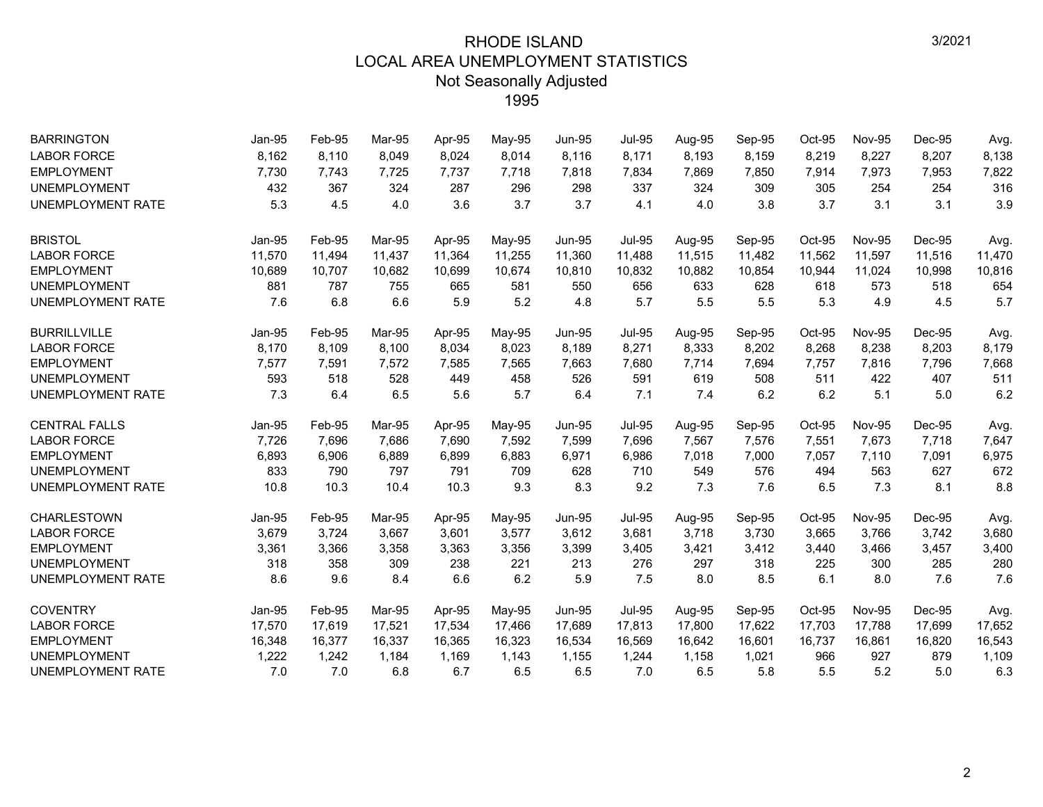| <b>BARRINGTON</b>        | Jan-95        | Feb-95 | Mar-95 | Apr-95 | May-95 | <b>Jun-95</b> | <b>Jul-95</b> | Aug-95 | Sep-95 | $Oct-95$ | <b>Nov-95</b> | Dec-95 | Avg.   |
|--------------------------|---------------|--------|--------|--------|--------|---------------|---------------|--------|--------|----------|---------------|--------|--------|
| <b>LABOR FORCE</b>       | 8,162         | 8,110  | 8,049  | 8,024  | 8,014  | 8,116         | 8,171         | 8,193  | 8,159  | 8,219    | 8,227         | 8,207  | 8,138  |
| <b>EMPLOYMENT</b>        | 7,730         | 7,743  | 7,725  | 7,737  | 7,718  | 7,818         | 7,834         | 7,869  | 7,850  | 7,914    | 7,973         | 7,953  | 7,822  |
| <b>UNEMPLOYMENT</b>      | 432           | 367    | 324    | 287    | 296    | 298           | 337           | 324    | 309    | 305      | 254           | 254    | 316    |
| UNEMPLOYMENT RATE        | 5.3           | 4.5    | 4.0    | 3.6    | 3.7    | 3.7           | 4.1           | 4.0    | 3.8    | 3.7      | 3.1           | 3.1    | 3.9    |
| <b>BRISTOL</b>           | <b>Jan-95</b> | Feb-95 | Mar-95 | Apr-95 | May-95 | <b>Jun-95</b> | <b>Jul-95</b> | Aug-95 | Sep-95 | Oct-95   | <b>Nov-95</b> | Dec-95 | Avg.   |
| <b>LABOR FORCE</b>       | 11,570        | 11,494 | 11,437 | 11,364 | 11,255 | 11,360        | 11,488        | 11,515 | 11,482 | 11,562   | 11,597        | 11,516 | 11,470 |
| <b>EMPLOYMENT</b>        | 10,689        | 10,707 | 10,682 | 10,699 | 10,674 | 10,810        | 10,832        | 10,882 | 10,854 | 10,944   | 11,024        | 10,998 | 10,816 |
| <b>UNEMPLOYMENT</b>      | 881           | 787    | 755    | 665    | 581    | 550           | 656           | 633    | 628    | 618      | 573           | 518    | 654    |
| UNEMPLOYMENT RATE        | 7.6           | 6.8    | 6.6    | 5.9    | 5.2    | 4.8           | 5.7           | 5.5    | 5.5    | 5.3      | 4.9           | 4.5    | 5.7    |
| <b>BURRILLVILLE</b>      | Jan-95        | Feb-95 | Mar-95 | Apr-95 | May-95 | <b>Jun-95</b> | <b>Jul-95</b> | Aug-95 | Sep-95 | Oct-95   | <b>Nov-95</b> | Dec-95 | Avg.   |
| <b>LABOR FORCE</b>       | 8,170         | 8,109  | 8,100  | 8,034  | 8,023  | 8,189         | 8,271         | 8,333  | 8,202  | 8,268    | 8,238         | 8,203  | 8,179  |
| <b>EMPLOYMENT</b>        | 7,577         | 7,591  | 7,572  | 7,585  | 7,565  | 7,663         | 7,680         | 7,714  | 7,694  | 7,757    | 7,816         | 7,796  | 7,668  |
| <b>UNEMPLOYMENT</b>      | 593           | 518    | 528    | 449    | 458    | 526           | 591           | 619    | 508    | 511      | 422           | 407    | 511    |
| UNEMPLOYMENT RATE        | 7.3           | 6.4    | 6.5    | 5.6    | 5.7    | 6.4           | 7.1           | 7.4    | 6.2    | 6.2      | 5.1           | 5.0    | 6.2    |
| <b>CENTRAL FALLS</b>     | Jan-95        | Feb-95 | Mar-95 | Apr-95 | May-95 | <b>Jun-95</b> | <b>Jul-95</b> | Aug-95 | Sep-95 | Oct-95   | <b>Nov-95</b> | Dec-95 | Avg.   |
| <b>LABOR FORCE</b>       | 7,726         | 7,696  | 7,686  | 7,690  | 7,592  | 7,599         | 7,696         | 7,567  | 7,576  | 7,551    | 7,673         | 7,718  | 7,647  |
| <b>EMPLOYMENT</b>        | 6,893         | 6,906  | 6,889  | 6,899  | 6,883  | 6,971         | 6,986         | 7,018  | 7,000  | 7,057    | 7,110         | 7,091  | 6,975  |
| <b>UNEMPLOYMENT</b>      | 833           | 790    | 797    | 791    | 709    | 628           | 710           | 549    | 576    | 494      | 563           | 627    | 672    |
| <b>UNEMPLOYMENT RATE</b> | 10.8          | 10.3   | 10.4   | 10.3   | 9.3    | 8.3           | 9.2           | 7.3    | 7.6    | 6.5      | 7.3           | 8.1    | 8.8    |
| <b>CHARLESTOWN</b>       | Jan-95        | Feb-95 | Mar-95 | Apr-95 | May-95 | <b>Jun-95</b> | <b>Jul-95</b> | Aug-95 | Sep-95 | Oct-95   | <b>Nov-95</b> | Dec-95 | Avg.   |
| <b>LABOR FORCE</b>       | 3,679         | 3,724  | 3,667  | 3,601  | 3,577  | 3,612         | 3,681         | 3,718  | 3,730  | 3,665    | 3,766         | 3,742  | 3,680  |
| <b>EMPLOYMENT</b>        | 3,361         | 3,366  | 3,358  | 3,363  | 3,356  | 3,399         | 3,405         | 3,421  | 3,412  | 3,440    | 3,466         | 3,457  | 3,400  |
| <b>UNEMPLOYMENT</b>      | 318           | 358    | 309    | 238    | 221    | 213           | 276           | 297    | 318    | 225      | 300           | 285    | 280    |
| UNEMPLOYMENT RATE        | 8.6           | 9.6    | 8.4    | 6.6    | 6.2    | 5.9           | 7.5           | 8.0    | 8.5    | 6.1      | 8.0           | 7.6    | 7.6    |
| <b>COVENTRY</b>          | Jan-95        | Feb-95 | Mar-95 | Apr-95 | May-95 | <b>Jun-95</b> | <b>Jul-95</b> | Aug-95 | Sep-95 | Oct-95   | <b>Nov-95</b> | Dec-95 | Avg.   |
| <b>LABOR FORCE</b>       | 17,570        | 17,619 | 17,521 | 17,534 | 17,466 | 17,689        | 17,813        | 17,800 | 17,622 | 17,703   | 17,788        | 17,699 | 17,652 |
| <b>EMPLOYMENT</b>        | 16,348        | 16,377 | 16,337 | 16,365 | 16,323 | 16,534        | 16,569        | 16,642 | 16,601 | 16,737   | 16,861        | 16,820 | 16,543 |
| <b>UNEMPLOYMENT</b>      | 1,222         | 1,242  | 1,184  | 1,169  | 1,143  | 1,155         | 1,244         | 1,158  | 1,021  | 966      | 927           | 879    | 1,109  |
| UNEMPLOYMENT RATE        | 7.0           | 7.0    | 6.8    | 6.7    | 6.5    | 6.5           | 7.0           | 6.5    | 5.8    | 5.5      | 5.2           | 5.0    | 6.3    |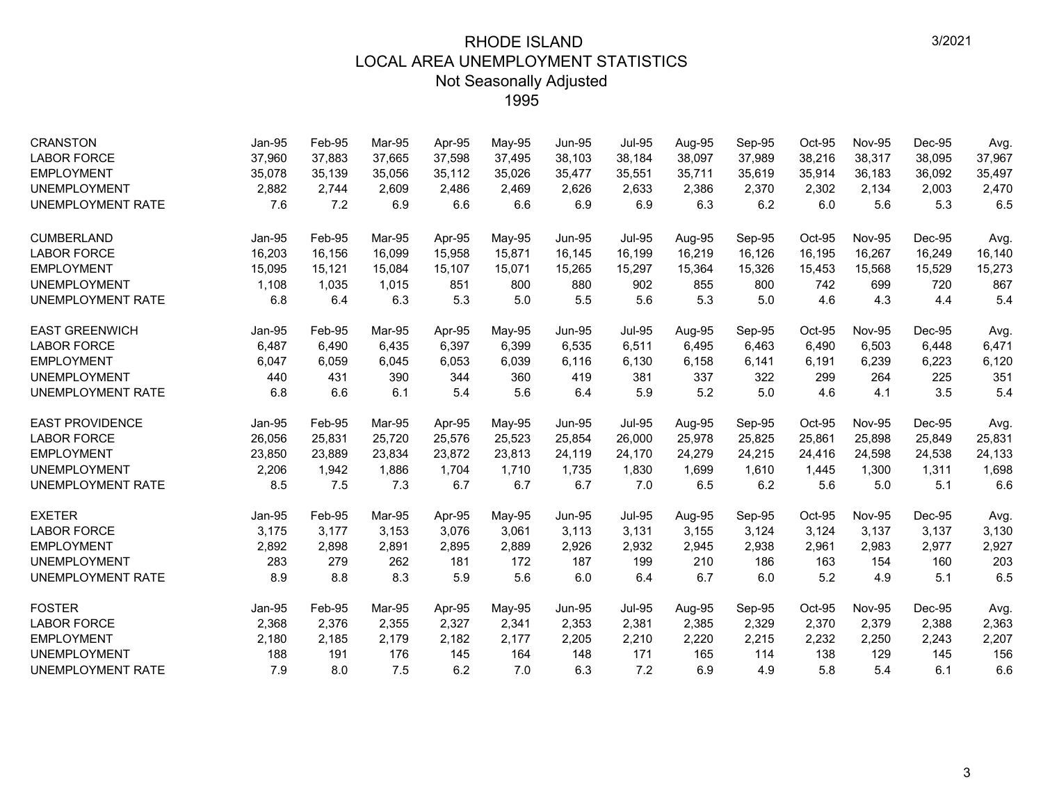| <b>CRANSTON</b>          | Jan-95 | Feb-95 | Mar-95 | Apr-95 | May-95 | <b>Jun-95</b> | <b>Jul-95</b> | Aug-95 | Sep-95 | Oct-95 | <b>Nov-95</b> | Dec-95 | Avg.   |
|--------------------------|--------|--------|--------|--------|--------|---------------|---------------|--------|--------|--------|---------------|--------|--------|
| <b>LABOR FORCE</b>       | 37,960 | 37,883 | 37,665 | 37,598 | 37,495 | 38,103        | 38,184        | 38,097 | 37,989 | 38,216 | 38,317        | 38,095 | 37,967 |
| <b>EMPLOYMENT</b>        | 35,078 | 35,139 | 35,056 | 35,112 | 35,026 | 35,477        | 35,551        | 35,711 | 35,619 | 35,914 | 36,183        | 36,092 | 35,497 |
| <b>UNEMPLOYMENT</b>      | 2,882  | 2,744  | 2.609  | 2,486  | 2,469  | 2,626         | 2,633         | 2,386  | 2,370  | 2,302  | 2,134         | 2,003  | 2,470  |
| <b>UNEMPLOYMENT RATE</b> | 7.6    | 7.2    | 6.9    | 6.6    | 6.6    | 6.9           | 6.9           | 6.3    | 6.2    | 6.0    | 5.6           | 5.3    | 6.5    |
| <b>CUMBERLAND</b>        | Jan-95 | Feb-95 | Mar-95 | Apr-95 | May-95 | <b>Jun-95</b> | <b>Jul-95</b> | Aug-95 | Sep-95 | Oct-95 | <b>Nov-95</b> | Dec-95 | Avg.   |
| <b>LABOR FORCE</b>       | 16,203 | 16,156 | 16,099 | 15,958 | 15,871 | 16,145        | 16,199        | 16,219 | 16,126 | 16,195 | 16,267        | 16,249 | 16,140 |
| <b>EMPLOYMENT</b>        | 15,095 | 15,121 | 15.084 | 15,107 | 15,071 | 15,265        | 15,297        | 15,364 | 15,326 | 15,453 | 15,568        | 15,529 | 15,273 |
| <b>UNEMPLOYMENT</b>      | 1,108  | 1,035  | 1,015  | 851    | 800    | 880           | 902           | 855    | 800    | 742    | 699           | 720    | 867    |
| <b>UNEMPLOYMENT RATE</b> | 6.8    | 6.4    | 6.3    | 5.3    | 5.0    | 5.5           | 5.6           | 5.3    | 5.0    | 4.6    | 4.3           | 4.4    | 5.4    |
| <b>EAST GREENWICH</b>    | Jan-95 | Feb-95 | Mar-95 | Apr-95 | May-95 | <b>Jun-95</b> | <b>Jul-95</b> | Aug-95 | Sep-95 | Oct-95 | <b>Nov-95</b> | Dec-95 | Avg.   |
| <b>LABOR FORCE</b>       | 6,487  | 6,490  | 6,435  | 6,397  | 6,399  | 6,535         | 6,511         | 6,495  | 6,463  | 6,490  | 6,503         | 6,448  | 6,471  |
| <b>EMPLOYMENT</b>        | 6,047  | 6,059  | 6,045  | 6,053  | 6,039  | 6,116         | 6,130         | 6,158  | 6,141  | 6,191  | 6,239         | 6,223  | 6,120  |
| <b>UNEMPLOYMENT</b>      | 440    | 431    | 390    | 344    | 360    | 419           | 381           | 337    | 322    | 299    | 264           | 225    | 351    |
| <b>UNEMPLOYMENT RATE</b> | 6.8    | 6.6    | 6.1    | 5.4    | 5.6    | 6.4           | 5.9           | 5.2    | 5.0    | 4.6    | 4.1           | 3.5    | 5.4    |
| <b>EAST PROVIDENCE</b>   | Jan-95 | Feb-95 | Mar-95 | Apr-95 | May-95 | <b>Jun-95</b> | <b>Jul-95</b> | Aug-95 | Sep-95 | Oct-95 | <b>Nov-95</b> | Dec-95 | Avg.   |
| <b>LABOR FORCE</b>       | 26,056 | 25,831 | 25,720 | 25,576 | 25,523 | 25,854        | 26,000        | 25,978 | 25,825 | 25,861 | 25.898        | 25,849 | 25,831 |
| <b>EMPLOYMENT</b>        | 23,850 | 23,889 | 23,834 | 23,872 | 23,813 | 24,119        | 24,170        | 24,279 | 24,215 | 24,416 | 24,598        | 24,538 | 24,133 |
| <b>UNEMPLOYMENT</b>      | 2,206  | 1,942  | 1,886  | 1,704  | 1,710  | 1,735         | 1,830         | 1,699  | 1,610  | 1,445  | 1,300         | 1,311  | 1,698  |
| <b>UNEMPLOYMENT RATE</b> | 8.5    | 7.5    | 7.3    | 6.7    | 6.7    | 6.7           | 7.0           | 6.5    | 6.2    | 5.6    | 5.0           | 5.1    | 6.6    |
| <b>EXETER</b>            | Jan-95 | Feb-95 | Mar-95 | Apr-95 | May-95 | <b>Jun-95</b> | <b>Jul-95</b> | Aug-95 | Sep-95 | Oct-95 | <b>Nov-95</b> | Dec-95 | Avg.   |
| <b>LABOR FORCE</b>       | 3,175  | 3,177  | 3,153  | 3,076  | 3,061  | 3,113         | 3,131         | 3,155  | 3,124  | 3,124  | 3,137         | 3,137  | 3,130  |
| <b>EMPLOYMENT</b>        | 2,892  | 2,898  | 2,891  | 2,895  | 2,889  | 2,926         | 2,932         | 2,945  | 2,938  | 2,961  | 2,983         | 2,977  | 2,927  |
| <b>UNEMPLOYMENT</b>      | 283    | 279    | 262    | 181    | 172    | 187           | 199           | 210    | 186    | 163    | 154           | 160    | 203    |
| <b>UNEMPLOYMENT RATE</b> | 8.9    | 8.8    | 8.3    | 5.9    | 5.6    | 6.0           | 6.4           | 6.7    | 6.0    | 5.2    | 4.9           | 5.1    | 6.5    |
| <b>FOSTER</b>            | Jan-95 | Feb-95 | Mar-95 | Apr-95 | May-95 | <b>Jun-95</b> | <b>Jul-95</b> | Aug-95 | Sep-95 | Oct-95 | <b>Nov-95</b> | Dec-95 | Avg.   |
| <b>LABOR FORCE</b>       | 2,368  | 2,376  | 2,355  | 2,327  | 2,341  | 2,353         | 2,381         | 2,385  | 2,329  | 2,370  | 2,379         | 2,388  | 2,363  |
| <b>EMPLOYMENT</b>        | 2,180  | 2,185  | 2,179  | 2,182  | 2,177  | 2,205         | 2,210         | 2,220  | 2,215  | 2,232  | 2,250         | 2,243  | 2,207  |
| <b>UNEMPLOYMENT</b>      | 188    | 191    | 176    | 145    | 164    | 148           | 171           | 165    | 114    | 138    | 129           | 145    | 156    |
| <b>UNEMPLOYMENT RATE</b> | 7.9    | 8.0    | 7.5    | 6.2    | 7.0    | 6.3           | 7.2           | 6.9    | 4.9    | 5.8    | 5.4           | 6.1    | 6.6    |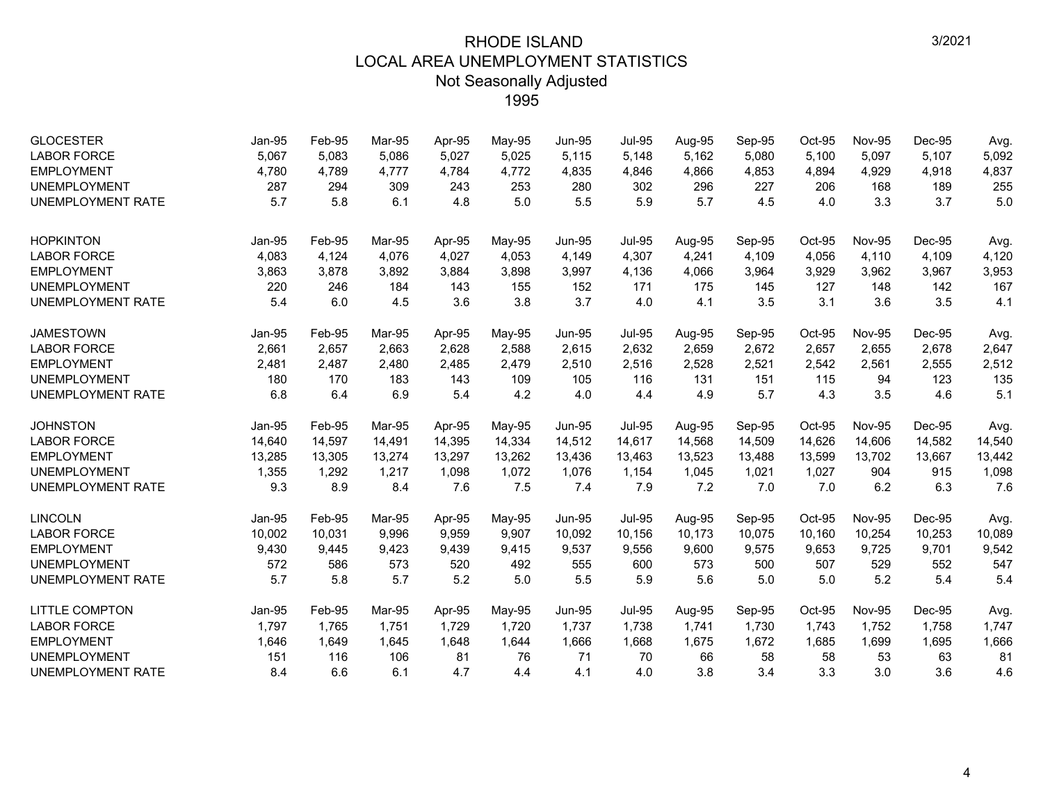| <b>GLOCESTER</b><br><b>LABOR FORCE</b><br><b>EMPLOYMENT</b><br><b>UNEMPLOYMENT</b> | Jan-95<br>5,067<br>4,780<br>287 | Feb-95<br>5,083<br>4,789<br>294 | Mar-95<br>5,086<br>4,777<br>309 | Apr-95<br>5,027<br>4,784<br>243 | May-95<br>5,025<br>4,772<br>253 | <b>Jun-95</b><br>5,115<br>4,835<br>280 | <b>Jul-95</b><br>5,148<br>4,846<br>302 | Aug-95<br>5,162<br>4,866<br>296 | Sep-95<br>5,080<br>4,853<br>227 | Oct-95<br>5,100<br>4,894<br>206 | <b>Nov-95</b><br>5,097<br>4,929<br>168 | Dec-95<br>5,107<br>4,918<br>189 | Avg.<br>5,092<br>4,837<br>255 |
|------------------------------------------------------------------------------------|---------------------------------|---------------------------------|---------------------------------|---------------------------------|---------------------------------|----------------------------------------|----------------------------------------|---------------------------------|---------------------------------|---------------------------------|----------------------------------------|---------------------------------|-------------------------------|
| <b>UNEMPLOYMENT RATE</b>                                                           | 5.7                             | 5.8                             | 6.1                             | 4.8                             | 5.0                             | 5.5                                    | 5.9                                    | 5.7                             | 4.5                             | 4.0                             | 3.3                                    | 3.7                             | 5.0                           |
| <b>HOPKINTON</b>                                                                   | <b>Jan-95</b>                   | Feb-95                          | Mar-95                          | Apr-95                          | May-95                          | <b>Jun-95</b>                          | <b>Jul-95</b>                          | Aug-95                          | Sep-95                          | Oct-95                          | <b>Nov-95</b>                          | Dec-95                          | Avg.                          |
| <b>LABOR FORCE</b>                                                                 | 4,083                           | 4,124                           | 4.076                           | 4,027                           | 4,053                           | 4,149                                  | 4,307                                  | 4,241                           | 4.109                           | 4,056                           | 4.110                                  | 4,109                           | 4,120                         |
| <b>EMPLOYMENT</b>                                                                  | 3,863                           | 3,878                           | 3,892                           | 3,884                           | 3,898                           | 3,997                                  | 4,136                                  | 4,066                           | 3,964                           | 3,929                           | 3,962                                  | 3,967                           | 3,953                         |
| <b>UNEMPLOYMENT</b>                                                                | 220                             | 246                             | 184                             | 143                             | 155                             | 152                                    | 171                                    | 175                             | 145                             | 127                             | 148                                    | 142                             | 167                           |
| <b>UNEMPLOYMENT RATE</b>                                                           | 5.4                             | 6.0                             | 4.5                             | 3.6                             | 3.8                             | 3.7                                    | 4.0                                    | 4.1                             | 3.5                             | 3.1                             | 3.6                                    | 3.5                             | 4.1                           |
| <b>JAMESTOWN</b>                                                                   | Jan-95                          | Feb-95                          | Mar-95                          | Apr-95                          | May-95                          | <b>Jun-95</b>                          | <b>Jul-95</b>                          | Aug-95                          | Sep-95                          | Oct-95                          | <b>Nov-95</b>                          | Dec-95                          | Avg.                          |
| <b>LABOR FORCE</b>                                                                 | 2,661                           | 2,657                           | 2,663                           | 2,628                           | 2,588                           | 2,615                                  | 2,632                                  | 2,659                           | 2,672                           | 2,657                           | 2,655                                  | 2,678                           | 2,647                         |
| <b>EMPLOYMENT</b>                                                                  | 2,481                           | 2,487                           | 2,480                           | 2,485                           | 2,479                           | 2,510                                  | 2,516                                  | 2,528                           | 2,521                           | 2,542                           | 2,561                                  | 2,555                           | 2,512                         |
| <b>UNEMPLOYMENT</b>                                                                | 180                             | 170                             | 183                             | 143                             | 109                             | 105                                    | 116                                    | 131                             | 151                             | 115                             | 94                                     | 123                             | 135                           |
| <b>UNEMPLOYMENT RATE</b>                                                           | 6.8                             | 6.4                             | 6.9                             | 5.4                             | 4.2                             | 4.0                                    | 4.4                                    | 4.9                             | 5.7                             | 4.3                             | 3.5                                    | 4.6                             | 5.1                           |
| <b>JOHNSTON</b>                                                                    | <b>Jan-95</b>                   | Feb-95                          | Mar-95                          | Apr-95                          | May-95                          | <b>Jun-95</b>                          | <b>Jul-95</b>                          | Aug-95                          | Sep-95                          | Oct-95                          | <b>Nov-95</b>                          | Dec-95                          | Avg.                          |
| <b>LABOR FORCE</b>                                                                 | 14,640                          | 14,597                          | 14,491                          | 14,395                          | 14,334                          | 14,512                                 | 14,617                                 | 14,568                          | 14,509                          | 14,626                          | 14,606                                 | 14,582                          | 14,540                        |
| <b>EMPLOYMENT</b>                                                                  | 13,285                          | 13,305                          | 13,274                          | 13,297                          | 13,262                          | 13,436                                 | 13,463                                 | 13,523                          | 13,488                          | 13,599                          | 13,702                                 | 13,667                          | 13,442                        |
| <b>UNEMPLOYMENT</b>                                                                | 1,355                           | 1,292                           | 1,217                           | 1,098                           | 1,072                           | 1,076                                  | 1,154                                  | 1,045                           | 1,021                           | 1,027                           | 904                                    | 915                             | 1,098                         |
| <b>UNEMPLOYMENT RATE</b>                                                           | 9.3                             | 8.9                             | 8.4                             | 7.6                             | 7.5                             | 7.4                                    | 7.9                                    | 7.2                             | 7.0                             | 7.0                             | 6.2                                    | 6.3                             | 7.6                           |
| <b>LINCOLN</b>                                                                     | Jan-95                          | Feb-95                          | Mar-95                          | Apr-95                          | May-95                          | <b>Jun-95</b>                          | <b>Jul-95</b>                          | Aug-95                          | Sep-95                          | Oct-95                          | <b>Nov-95</b>                          | Dec-95                          | Avg.                          |
| <b>LABOR FORCE</b>                                                                 | 10,002                          | 10,031                          | 9.996                           | 9,959                           | 9,907                           | 10,092                                 | 10,156                                 | 10,173                          | 10,075                          | 10,160                          | 10,254                                 | 10,253                          | 10,089                        |
| <b>EMPLOYMENT</b>                                                                  | 9,430                           | 9,445                           | 9,423                           | 9,439                           | 9,415                           | 9,537                                  | 9,556                                  | 9,600                           | 9,575                           | 9,653                           | 9,725                                  | 9,701                           | 9,542                         |
| <b>UNEMPLOYMENT</b>                                                                | 572                             | 586                             | 573                             | 520                             | 492                             | 555                                    | 600                                    | 573                             | 500                             | 507                             | 529                                    | 552                             | 547                           |
| <b>UNEMPLOYMENT RATE</b>                                                           | 5.7                             | 5.8                             | 5.7                             | 5.2                             | 5.0                             | 5.5                                    | 5.9                                    | 5.6                             | 5.0                             | 5.0                             | 5.2                                    | 5.4                             | 5.4                           |
| <b>LITTLE COMPTON</b>                                                              | Jan-95                          | Feb-95                          | Mar-95                          | Apr-95                          | May-95                          | <b>Jun-95</b>                          | <b>Jul-95</b>                          | Aug-95                          | Sep-95                          | Oct-95                          | <b>Nov-95</b>                          | Dec-95                          | Avg.                          |
| <b>LABOR FORCE</b>                                                                 | 1,797                           | 1,765                           | 1,751                           | 1,729                           | 1,720                           | 1,737                                  | 1,738                                  | 1,741                           | 1,730                           | 1,743                           | 1,752                                  | 1,758                           | 1,747                         |
| <b>EMPLOYMENT</b>                                                                  | 1,646                           | 1,649                           | 1,645                           | 1,648                           | 1,644                           | 1,666                                  | 1,668                                  | 1,675                           | 1,672                           | 1,685                           | 1,699                                  | 1,695                           | 1,666                         |
| <b>UNEMPLOYMENT</b>                                                                | 151                             | 116                             | 106                             | 81                              | 76                              | 71                                     | 70                                     | 66                              | 58                              | 58                              | 53                                     | 63                              | 81                            |
| <b>UNEMPLOYMENT RATE</b>                                                           | 8.4                             | 6.6                             | 6.1                             | 4.7                             | 4.4                             | 4.1                                    | 4.0                                    | 3.8                             | 3.4                             | 3.3                             | 3.0                                    | 3.6                             | 4.6                           |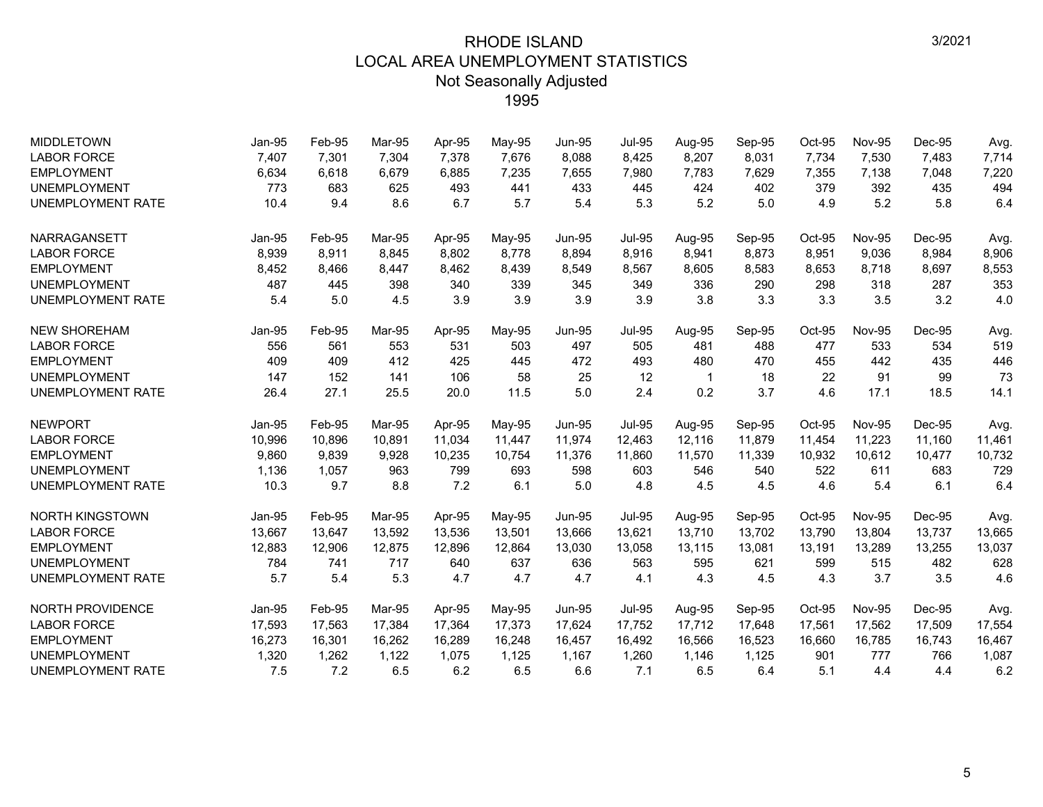| <b>MIDDLETOWN</b>        | Jan-95        | Feb-95 | Mar-95 | Apr-95 | May-95 | <b>Jun-95</b> | <b>Jul-95</b> | Aug-95 | Sep-95 | $Oct-95$ | <b>Nov-95</b> | Dec-95 | Avg.   |
|--------------------------|---------------|--------|--------|--------|--------|---------------|---------------|--------|--------|----------|---------------|--------|--------|
| <b>LABOR FORCE</b>       | 7,407         | 7,301  | 7,304  | 7,378  | 7,676  | 8,088         | 8,425         | 8,207  | 8,031  | 7,734    | 7,530         | 7,483  | 7,714  |
| <b>EMPLOYMENT</b>        | 6,634         | 6,618  | 6,679  | 6,885  | 7,235  | 7,655         | 7,980         | 7,783  | 7,629  | 7,355    | 7,138         | 7,048  | 7,220  |
| <b>UNEMPLOYMENT</b>      | 773           | 683    | 625    | 493    | 441    | 433           | 445           | 424    | 402    | 379      | 392           | 435    | 494    |
| <b>UNEMPLOYMENT RATE</b> | 10.4          | 9.4    | 8.6    | 6.7    | 5.7    | 5.4           | 5.3           | 5.2    | 5.0    | 4.9      | 5.2           | 5.8    | 6.4    |
| NARRAGANSETT             | <b>Jan-95</b> | Feb-95 | Mar-95 | Apr-95 | May-95 | <b>Jun-95</b> | <b>Jul-95</b> | Aug-95 | Sep-95 | Oct-95   | <b>Nov-95</b> | Dec-95 | Avg.   |
| <b>LABOR FORCE</b>       | 8,939         | 8,911  | 8,845  | 8,802  | 8,778  | 8,894         | 8,916         | 8,941  | 8,873  | 8,951    | 9,036         | 8,984  | 8,906  |
| <b>EMPLOYMENT</b>        | 8,452         | 8,466  | 8,447  | 8,462  | 8,439  | 8,549         | 8,567         | 8,605  | 8,583  | 8,653    | 8,718         | 8,697  | 8,553  |
| <b>UNEMPLOYMENT</b>      | 487           | 445    | 398    | 340    | 339    | 345           | 349           | 336    | 290    | 298      | 318           | 287    | 353    |
| <b>UNEMPLOYMENT RATE</b> | 5.4           | 5.0    | 4.5    | 3.9    | 3.9    | 3.9           | 3.9           | 3.8    | 3.3    | 3.3      | 3.5           | 3.2    | 4.0    |
| <b>NEW SHOREHAM</b>      | Jan-95        | Feb-95 | Mar-95 | Apr-95 | May-95 | <b>Jun-95</b> | <b>Jul-95</b> | Aug-95 | Sep-95 | Oct-95   | <b>Nov-95</b> | Dec-95 | Avg.   |
| <b>LABOR FORCE</b>       | 556           | 561    | 553    | 531    | 503    | 497           | 505           | 481    | 488    | 477      | 533           | 534    | 519    |
| <b>EMPLOYMENT</b>        | 409           | 409    | 412    | 425    | 445    | 472           | 493           | 480    | 470    | 455      | 442           | 435    | 446    |
| <b>UNEMPLOYMENT</b>      | 147           | 152    | 141    | 106    | 58     | 25            | 12            | -1     | 18     | 22       | 91            | 99     | 73     |
| <b>UNEMPLOYMENT RATE</b> | 26.4          | 27.1   | 25.5   | 20.0   | 11.5   | 5.0           | 2.4           | 0.2    | 3.7    | 4.6      | 17.1          | 18.5   | 14.1   |
| <b>NEWPORT</b>           | Jan-95        | Feb-95 | Mar-95 | Apr-95 | May-95 | <b>Jun-95</b> | <b>Jul-95</b> | Aug-95 | Sep-95 | Oct-95   | <b>Nov-95</b> | Dec-95 | Avg.   |
| <b>LABOR FORCE</b>       | 10,996        | 10,896 | 10,891 | 11,034 | 11,447 | 11,974        | 12,463        | 12,116 | 11,879 | 11,454   | 11,223        | 11,160 | 11,461 |
| <b>EMPLOYMENT</b>        | 9,860         | 9,839  | 9,928  | 10,235 | 10,754 | 11,376        | 11,860        | 11,570 | 11,339 | 10,932   | 10,612        | 10,477 | 10,732 |
| <b>UNEMPLOYMENT</b>      | 1,136         | 1,057  | 963    | 799    | 693    | 598           | 603           | 546    | 540    | 522      | 611           | 683    | 729    |
| <b>UNEMPLOYMENT RATE</b> | 10.3          | 9.7    | 8.8    | 7.2    | 6.1    | 5.0           | 4.8           | 4.5    | 4.5    | 4.6      | 5.4           | 6.1    | 6.4    |
| <b>NORTH KINGSTOWN</b>   | Jan-95        | Feb-95 | Mar-95 | Apr-95 | May-95 | <b>Jun-95</b> | <b>Jul-95</b> | Aug-95 | Sep-95 | Oct-95   | <b>Nov-95</b> | Dec-95 | Avg.   |
| <b>LABOR FORCE</b>       | 13,667        | 13,647 | 13,592 | 13,536 | 13,501 | 13,666        | 13,621        | 13,710 | 13,702 | 13,790   | 13,804        | 13,737 | 13,665 |
| <b>EMPLOYMENT</b>        | 12,883        | 12,906 | 12,875 | 12,896 | 12,864 | 13,030        | 13,058        | 13,115 | 13,081 | 13,191   | 13,289        | 13,255 | 13,037 |
| <b>UNEMPLOYMENT</b>      | 784           | 741    | 717    | 640    | 637    | 636           | 563           | 595    | 621    | 599      | 515           | 482    | 628    |
| UNEMPLOYMENT RATE        | 5.7           | 5.4    | 5.3    | 4.7    | 4.7    | 4.7           | 4.1           | 4.3    | 4.5    | 4.3      | 3.7           | 3.5    | 4.6    |
| NORTH PROVIDENCE         | Jan-95        | Feb-95 | Mar-95 | Apr-95 | May-95 | <b>Jun-95</b> | <b>Jul-95</b> | Aug-95 | Sep-95 | Oct-95   | <b>Nov-95</b> | Dec-95 | Avg.   |
| <b>LABOR FORCE</b>       | 17,593        | 17,563 | 17,384 | 17,364 | 17,373 | 17,624        | 17.752        | 17,712 | 17,648 | 17,561   | 17,562        | 17,509 | 17,554 |
| <b>EMPLOYMENT</b>        | 16,273        | 16,301 | 16,262 | 16,289 | 16,248 | 16,457        | 16,492        | 16,566 | 16,523 | 16,660   | 16,785        | 16,743 | 16,467 |
| UNEMPLOYMENT             | 1,320         | 1,262  | 1,122  | 1,075  | 1,125  | 1,167         | 1,260         | 1,146  | 1,125  | 901      | 777           | 766    | 1,087  |
| <b>UNEMPLOYMENT RATE</b> | 7.5           | 7.2    | 6.5    | 6.2    | 6.5    | 6.6           | 7.1           | 6.5    | 6.4    | 5.1      | 4.4           | 4.4    | 6.2    |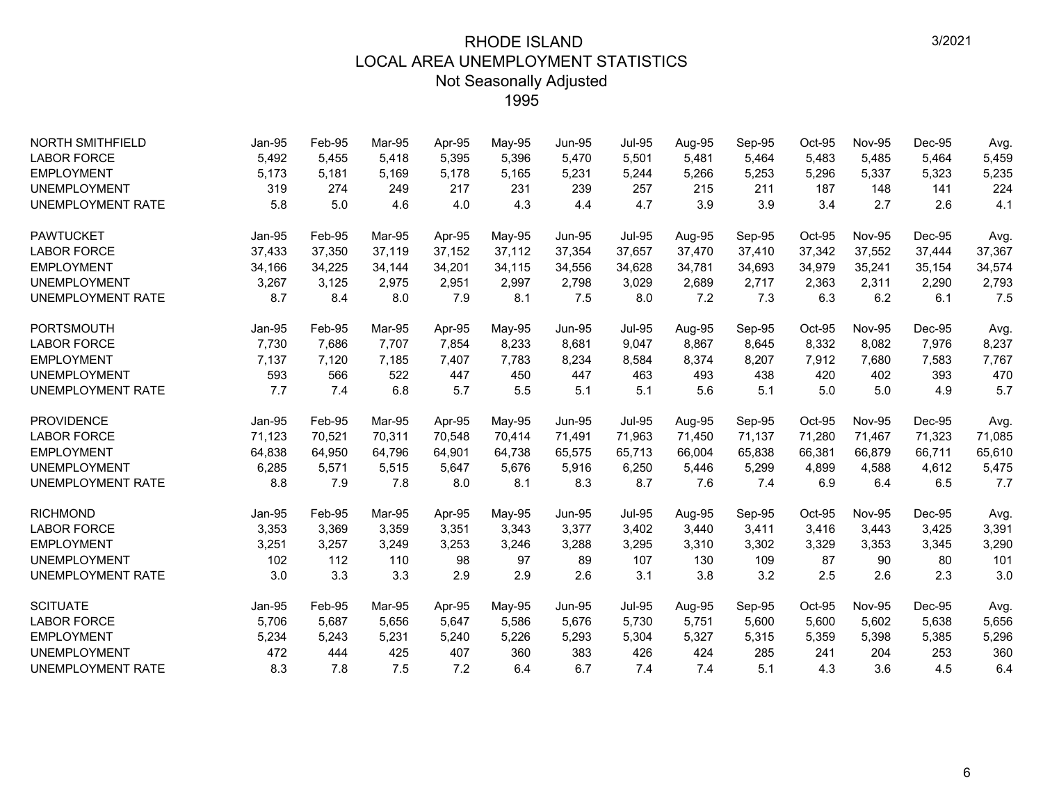| <b>NORTH SMITHFIELD</b>  | Jan-95        | Feb-95 | Mar-95 | Apr-95 | May-95 | <b>Jun-95</b> | <b>Jul-95</b> | Aug-95 | Sep-95 | Oct-95 | <b>Nov-95</b> | Dec-95 | Avg.   |
|--------------------------|---------------|--------|--------|--------|--------|---------------|---------------|--------|--------|--------|---------------|--------|--------|
| <b>LABOR FORCE</b>       | 5,492         | 5,455  | 5.418  | 5,395  | 5,396  | 5,470         | 5,501         | 5,481  | 5,464  | 5,483  | 5,485         | 5,464  | 5,459  |
| <b>EMPLOYMENT</b>        | 5,173         | 5,181  | 5,169  | 5,178  | 5,165  | 5,231         | 5,244         | 5,266  | 5,253  | 5,296  | 5,337         | 5,323  | 5,235  |
| <b>UNEMPLOYMENT</b>      | 319           | 274    | 249    | 217    | 231    | 239           | 257           | 215    | 211    | 187    | 148           | 141    | 224    |
| <b>UNEMPLOYMENT RATE</b> | 5.8           | 5.0    | 4.6    | 4.0    | 4.3    | 4.4           | 4.7           | 3.9    | 3.9    | 3.4    | 2.7           | 2.6    | 4.1    |
| <b>PAWTUCKET</b>         | Jan-95        | Feb-95 | Mar-95 | Apr-95 | May-95 | <b>Jun-95</b> | <b>Jul-95</b> | Aug-95 | Sep-95 | Oct-95 | <b>Nov-95</b> | Dec-95 | Avg.   |
| <b>LABOR FORCE</b>       | 37,433        | 37,350 | 37,119 | 37.152 | 37,112 | 37,354        | 37,657        | 37,470 | 37,410 | 37,342 | 37,552        | 37,444 | 37,367 |
| <b>EMPLOYMENT</b>        | 34,166        | 34,225 | 34,144 | 34,201 | 34,115 | 34,556        | 34,628        | 34,781 | 34,693 | 34,979 | 35,241        | 35,154 | 34,574 |
| <b>UNEMPLOYMENT</b>      | 3,267         | 3,125  | 2,975  | 2,951  | 2,997  | 2,798         | 3,029         | 2,689  | 2,717  | 2,363  | 2,311         | 2,290  | 2,793  |
| <b>UNEMPLOYMENT RATE</b> | 8.7           | 8.4    | 8.0    | 7.9    | 8.1    | 7.5           | 8.0           | 7.2    | 7.3    | 6.3    | 6.2           | 6.1    | 7.5    |
| <b>PORTSMOUTH</b>        | Jan-95        | Feb-95 | Mar-95 | Apr-95 | May-95 | <b>Jun-95</b> | <b>Jul-95</b> | Aug-95 | Sep-95 | Oct-95 | <b>Nov-95</b> | Dec-95 | Avg.   |
| <b>LABOR FORCE</b>       | 7,730         | 7,686  | 7,707  | 7,854  | 8,233  | 8,681         | 9,047         | 8,867  | 8,645  | 8,332  | 8,082         | 7,976  | 8,237  |
| <b>EMPLOYMENT</b>        | 7,137         | 7,120  | 7,185  | 7,407  | 7,783  | 8,234         | 8,584         | 8,374  | 8,207  | 7,912  | 7,680         | 7,583  | 7,767  |
| <b>UNEMPLOYMENT</b>      | 593           | 566    | 522    | 447    | 450    | 447           | 463           | 493    | 438    | 420    | 402           | 393    | 470    |
| <b>UNEMPLOYMENT RATE</b> | 7.7           | 7.4    | 6.8    | 5.7    | 5.5    | 5.1           | 5.1           | 5.6    | 5.1    | 5.0    | 5.0           | 4.9    | 5.7    |
| <b>PROVIDENCE</b>        | <b>Jan-95</b> | Feb-95 | Mar-95 | Apr-95 | May-95 | <b>Jun-95</b> | <b>Jul-95</b> | Aug-95 | Sep-95 | Oct-95 | <b>Nov-95</b> | Dec-95 | Avg.   |
| <b>LABOR FORCE</b>       | 71,123        | 70,521 | 70,311 | 70,548 | 70,414 | 71,491        | 71,963        | 71,450 | 71,137 | 71,280 | 71,467        | 71,323 | 71,085 |
| <b>EMPLOYMENT</b>        | 64,838        | 64,950 | 64.796 | 64,901 | 64,738 | 65,575        | 65,713        | 66,004 | 65,838 | 66,381 | 66,879        | 66.711 | 65,610 |
| <b>UNEMPLOYMENT</b>      | 6,285         | 5,571  | 5,515  | 5,647  | 5,676  | 5,916         | 6,250         | 5,446  | 5,299  | 4,899  | 4,588         | 4,612  | 5,475  |
| <b>UNEMPLOYMENT RATE</b> | 8.8           | 7.9    | 7.8    | 8.0    | 8.1    | 8.3           | 8.7           | 7.6    | 7.4    | 6.9    | 6.4           | 6.5    | 7.7    |
| <b>RICHMOND</b>          | Jan-95        | Feb-95 | Mar-95 | Apr-95 | May-95 | <b>Jun-95</b> | <b>Jul-95</b> | Aug-95 | Sep-95 | Oct-95 | <b>Nov-95</b> | Dec-95 | Avg.   |
| <b>LABOR FORCE</b>       | 3,353         | 3,369  | 3,359  | 3,351  | 3,343  | 3,377         | 3,402         | 3,440  | 3,411  | 3,416  | 3,443         | 3,425  | 3,391  |
| <b>EMPLOYMENT</b>        | 3,251         | 3,257  | 3,249  | 3,253  | 3,246  | 3,288         | 3,295         | 3,310  | 3,302  | 3,329  | 3,353         | 3,345  | 3,290  |
| <b>UNEMPLOYMENT</b>      | 102           | 112    | 110    | 98     | 97     | 89            | 107           | 130    | 109    | 87     | 90            | 80     | 101    |
| <b>UNEMPLOYMENT RATE</b> | 3.0           | 3.3    | 3.3    | 2.9    | 2.9    | 2.6           | 3.1           | 3.8    | 3.2    | 2.5    | 2.6           | 2.3    | 3.0    |
| <b>SCITUATE</b>          | Jan-95        | Feb-95 | Mar-95 | Apr-95 | May-95 | <b>Jun-95</b> | <b>Jul-95</b> | Aug-95 | Sep-95 | Oct-95 | <b>Nov-95</b> | Dec-95 | Avg.   |
| <b>LABOR FORCE</b>       | 5,706         | 5,687  | 5,656  | 5,647  | 5,586  | 5,676         | 5,730         | 5,751  | 5,600  | 5,600  | 5,602         | 5,638  | 5,656  |
| <b>EMPLOYMENT</b>        | 5,234         | 5,243  | 5,231  | 5,240  | 5,226  | 5,293         | 5,304         | 5,327  | 5,315  | 5,359  | 5,398         | 5,385  | 5,296  |
| <b>UNEMPLOYMENT</b>      | 472           | 444    | 425    | 407    | 360    | 383           | 426           | 424    | 285    | 241    | 204           | 253    | 360    |
| <b>UNEMPLOYMENT RATE</b> | 8.3           | 7.8    | 7.5    | 7.2    | 6.4    | 6.7           | 7.4           | 7.4    | 5.1    | 4.3    | 3.6           | 4.5    | 6.4    |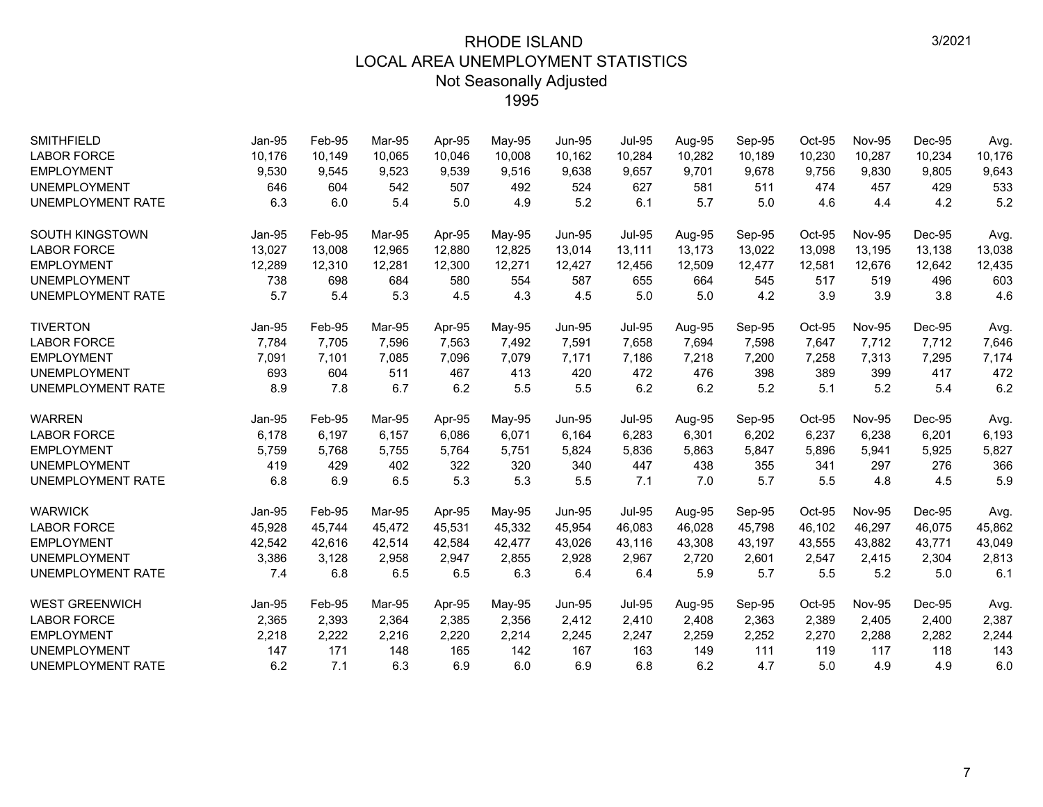| <b>SMITHFIELD</b>        | Jan-95        | Feb-95 | Mar-95 | Apr-95 | May-95 | <b>Jun-95</b> | <b>Jul-95</b> | Aug-95 | Sep-95 | Oct-95 | <b>Nov-95</b> | Dec-95 | Avg.   |
|--------------------------|---------------|--------|--------|--------|--------|---------------|---------------|--------|--------|--------|---------------|--------|--------|
| <b>LABOR FORCE</b>       | 10,176        | 10,149 | 10.065 | 10,046 | 10,008 | 10,162        | 10,284        | 10,282 | 10,189 | 10,230 | 10,287        | 10,234 | 10,176 |
| <b>EMPLOYMENT</b>        | 9,530         | 9,545  | 9,523  | 9,539  | 9,516  | 9,638         | 9,657         | 9,701  | 9,678  | 9,756  | 9,830         | 9,805  | 9,643  |
| <b>UNEMPLOYMENT</b>      | 646           | 604    | 542    | 507    | 492    | 524           | 627           | 581    | 511    | 474    | 457           | 429    | 533    |
| <b>UNEMPLOYMENT RATE</b> | 6.3           | 6.0    | 5.4    | 5.0    | 4.9    | 5.2           | 6.1           | 5.7    | 5.0    | 4.6    | 4.4           | 4.2    | 5.2    |
| <b>SOUTH KINGSTOWN</b>   | Jan-95        | Feb-95 | Mar-95 | Apr-95 | May-95 | <b>Jun-95</b> | <b>Jul-95</b> | Aug-95 | Sep-95 | Oct-95 | <b>Nov-95</b> | Dec-95 | Avg.   |
| <b>LABOR FORCE</b>       | 13,027        | 13,008 | 12,965 | 12,880 | 12,825 | 13,014        | 13,111        | 13,173 | 13,022 | 13,098 | 13,195        | 13,138 | 13,038 |
| <b>EMPLOYMENT</b>        | 12,289        | 12,310 | 12,281 | 12,300 | 12,271 | 12,427        | 12,456        | 12,509 | 12,477 | 12,581 | 12,676        | 12,642 | 12,435 |
| <b>UNEMPLOYMENT</b>      | 738           | 698    | 684    | 580    | 554    | 587           | 655           | 664    | 545    | 517    | 519           | 496    | 603    |
| <b>UNEMPLOYMENT RATE</b> | 5.7           | 5.4    | 5.3    | 4.5    | 4.3    | 4.5           | 5.0           | 5.0    | 4.2    | 3.9    | 3.9           | 3.8    | 4.6    |
| <b>TIVERTON</b>          | Jan-95        | Feb-95 | Mar-95 | Apr-95 | May-95 | <b>Jun-95</b> | <b>Jul-95</b> | Aug-95 | Sep-95 | Oct-95 | <b>Nov-95</b> | Dec-95 | Avg.   |
| <b>LABOR FORCE</b>       | 7,784         | 7,705  | 7,596  | 7,563  | 7,492  | 7,591         | 7,658         | 7,694  | 7,598  | 7,647  | 7,712         | 7,712  | 7,646  |
| <b>EMPLOYMENT</b>        | 7,091         | 7,101  | 7,085  | 7,096  | 7,079  | 7,171         | 7,186         | 7,218  | 7,200  | 7,258  | 7,313         | 7,295  | 7,174  |
| <b>UNEMPLOYMENT</b>      | 693           | 604    | 511    | 467    | 413    | 420           | 472           | 476    | 398    | 389    | 399           | 417    | 472    |
| <b>UNEMPLOYMENT RATE</b> | 8.9           | 7.8    | 6.7    | 6.2    | 5.5    | 5.5           | 6.2           | 6.2    | 5.2    | 5.1    | 5.2           | 5.4    | 6.2    |
| <b>WARREN</b>            | Jan-95        | Feb-95 | Mar-95 | Apr-95 | May-95 | <b>Jun-95</b> | <b>Jul-95</b> | Aug-95 | Sep-95 | Oct-95 | <b>Nov-95</b> | Dec-95 | Avg.   |
| <b>LABOR FORCE</b>       | 6,178         | 6,197  | 6,157  | 6,086  | 6,071  | 6,164         | 6,283         | 6,301  | 6,202  | 6,237  | 6,238         | 6,201  | 6,193  |
| <b>EMPLOYMENT</b>        | 5,759         | 5,768  | 5,755  | 5,764  | 5,751  | 5,824         | 5,836         | 5,863  | 5,847  | 5,896  | 5,941         | 5,925  | 5,827  |
| <b>UNEMPLOYMENT</b>      | 419           | 429    | 402    | 322    | 320    | 340           | 447           | 438    | 355    | 341    | 297           | 276    | 366    |
| <b>UNEMPLOYMENT RATE</b> | 6.8           | 6.9    | 6.5    | 5.3    | 5.3    | 5.5           | 7.1           | 7.0    | 5.7    | 5.5    | 4.8           | 4.5    | 5.9    |
| <b>WARWICK</b>           | <b>Jan-95</b> | Feb-95 | Mar-95 | Apr-95 | May-95 | <b>Jun-95</b> | <b>Jul-95</b> | Aug-95 | Sep-95 | Oct-95 | <b>Nov-95</b> | Dec-95 | Avg.   |
| <b>LABOR FORCE</b>       | 45,928        | 45.744 | 45.472 | 45.531 | 45,332 | 45,954        | 46.083        | 46.028 | 45,798 | 46,102 | 46,297        | 46,075 | 45,862 |
| <b>EMPLOYMENT</b>        | 42,542        | 42,616 | 42,514 | 42,584 | 42,477 | 43,026        | 43,116        | 43,308 | 43,197 | 43,555 | 43,882        | 43,771 | 43,049 |
| <b>UNEMPLOYMENT</b>      | 3,386         | 3,128  | 2,958  | 2,947  | 2,855  | 2,928         | 2,967         | 2,720  | 2,601  | 2,547  | 2,415         | 2,304  | 2,813  |
| <b>UNEMPLOYMENT RATE</b> | 7.4           | 6.8    | 6.5    | 6.5    | 6.3    | 6.4           | 6.4           | 5.9    | 5.7    | 5.5    | 5.2           | 5.0    | 6.1    |
| <b>WEST GREENWICH</b>    | Jan-95        | Feb-95 | Mar-95 | Apr-95 | May-95 | <b>Jun-95</b> | <b>Jul-95</b> | Aug-95 | Sep-95 | Oct-95 | <b>Nov-95</b> | Dec-95 | Avg.   |
| <b>LABOR FORCE</b>       | 2,365         | 2,393  | 2,364  | 2,385  | 2,356  | 2,412         | 2,410         | 2,408  | 2,363  | 2,389  | 2,405         | 2,400  | 2,387  |
| <b>EMPLOYMENT</b>        | 2,218         | 2,222  | 2,216  | 2,220  | 2,214  | 2,245         | 2,247         | 2,259  | 2,252  | 2,270  | 2,288         | 2,282  | 2,244  |
| <b>UNEMPLOYMENT</b>      | 147           | 171    | 148    | 165    | 142    | 167           | 163           | 149    | 111    | 119    | 117           | 118    | 143    |
| <b>UNEMPLOYMENT RATE</b> | 6.2           | 7.1    | 6.3    | 6.9    | 6.0    | 6.9           | 6.8           | 6.2    | 4.7    | 5.0    | 4.9           | 4.9    | 6.0    |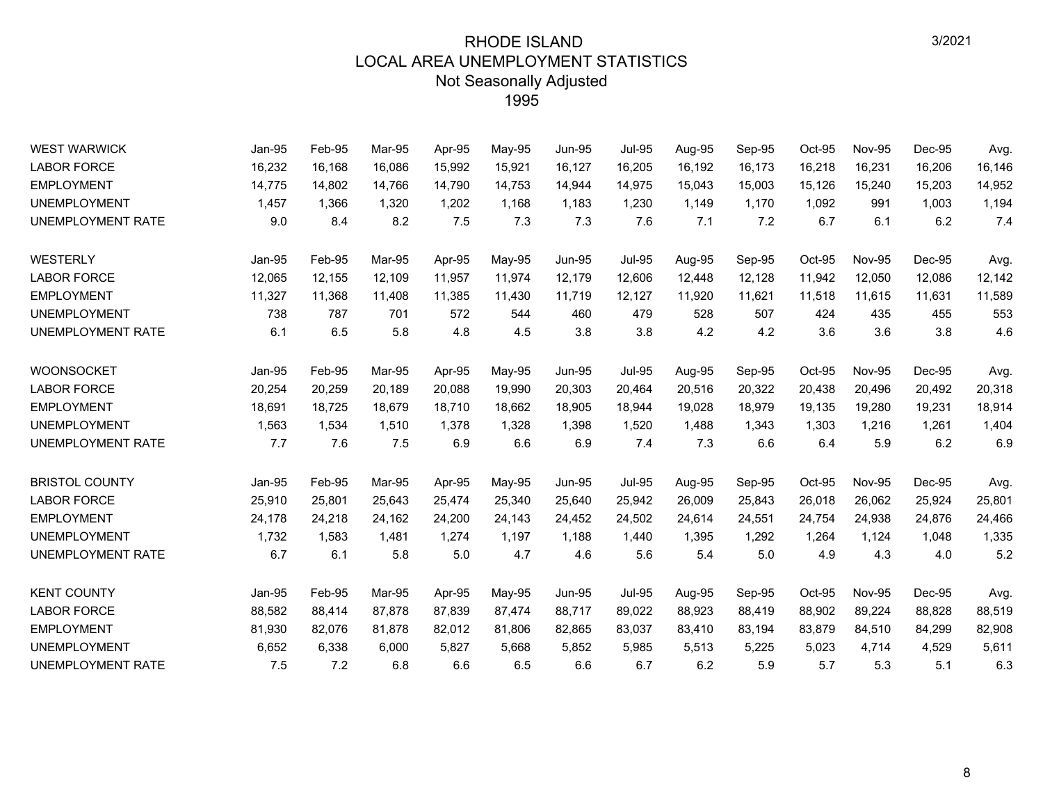| <b>WEST WARWICK</b>      | Jan-95 | Feb-95 | Mar-95 | Apr-95 | May-95 | <b>Jun-95</b> | <b>Jul-95</b> | Aug-95 | Sep-95 | Oct-95 | <b>Nov-95</b> | Dec-95 | Avg.   |
|--------------------------|--------|--------|--------|--------|--------|---------------|---------------|--------|--------|--------|---------------|--------|--------|
| <b>LABOR FORCE</b>       | 16,232 | 16,168 | 16,086 | 15,992 | 15,921 | 16,127        | 16,205        | 16,192 | 16,173 | 16,218 | 16,231        | 16,206 | 16,146 |
| <b>EMPLOYMENT</b>        | 14,775 | 14,802 | 14,766 | 14,790 | 14,753 | 14,944        | 14,975        | 15,043 | 15,003 | 15,126 | 15,240        | 15,203 | 14,952 |
| <b>UNEMPLOYMENT</b>      | 1,457  | 1,366  | 1,320  | 1,202  | 1,168  | 1,183         | 1,230         | 1,149  | 1,170  | 1,092  | 991           | 1,003  | 1,194  |
| UNEMPLOYMENT RATE        | 9.0    | 8.4    | 8.2    | 7.5    | 7.3    | 7.3           | 7.6           | 7.1    | 7.2    | 6.7    | 6.1           | 6.2    | 7.4    |
| WESTERLY                 | Jan-95 | Feb-95 | Mar-95 | Apr-95 | May-95 | <b>Jun-95</b> | <b>Jul-95</b> | Aug-95 | Sep-95 | Oct-95 | <b>Nov-95</b> | Dec-95 | Avg.   |
| <b>LABOR FORCE</b>       | 12,065 | 12,155 | 12,109 | 11,957 | 11,974 | 12,179        | 12,606        | 12,448 | 12,128 | 11,942 | 12,050        | 12,086 | 12,142 |
| <b>EMPLOYMENT</b>        | 11,327 | 11,368 | 11,408 | 11,385 | 11,430 | 11,719        | 12,127        | 11,920 | 11,621 | 11,518 | 11,615        | 11,631 | 11,589 |
| <b>UNEMPLOYMENT</b>      | 738    | 787    | 701    | 572    | 544    | 460           | 479           | 528    | 507    | 424    | 435           | 455    | 553    |
| UNEMPLOYMENT RATE        | 6.1    | 6.5    | 5.8    | 4.8    | 4.5    | 3.8           | 3.8           | 4.2    | 4.2    | 3.6    | 3.6           | 3.8    | 4.6    |
| <b>WOONSOCKET</b>        | Jan-95 | Feb-95 | Mar-95 | Apr-95 | May-95 | <b>Jun-95</b> | <b>Jul-95</b> | Aug-95 | Sep-95 | Oct-95 | <b>Nov-95</b> | Dec-95 | Avg.   |
| <b>LABOR FORCE</b>       | 20,254 | 20,259 | 20,189 | 20,088 | 19,990 | 20,303        | 20,464        | 20,516 | 20,322 | 20,438 | 20,496        | 20,492 | 20,318 |
| <b>EMPLOYMENT</b>        | 18.691 | 18,725 | 18.679 | 18.710 | 18,662 | 18.905        | 18.944        | 19,028 | 18,979 | 19.135 | 19.280        | 19,231 | 18,914 |
| <b>UNEMPLOYMENT</b>      | 1,563  | 1,534  | 1,510  | 1,378  | 1,328  | 1,398         | 1,520         | 1,488  | 1,343  | 1,303  | 1,216         | 1,261  | 1,404  |
| UNEMPLOYMENT RATE        | 7.7    | 7.6    | 7.5    | 6.9    | 6.6    | 6.9           | 7.4           | 7.3    | 6.6    | 6.4    | 5.9           | 6.2    | 6.9    |
| <b>BRISTOL COUNTY</b>    | Jan-95 | Feb-95 | Mar-95 | Apr-95 | May-95 | <b>Jun-95</b> | <b>Jul-95</b> | Aug-95 | Sep-95 | Oct-95 | <b>Nov-95</b> | Dec-95 | Avg.   |
| <b>LABOR FORCE</b>       | 25,910 | 25,801 | 25,643 | 25,474 | 25,340 | 25,640        | 25,942        | 26,009 | 25,843 | 26,018 | 26,062        | 25,924 | 25,801 |
| <b>EMPLOYMENT</b>        | 24,178 | 24,218 | 24,162 | 24,200 | 24,143 | 24,452        | 24,502        | 24,614 | 24,551 | 24,754 | 24,938        | 24,876 | 24,466 |
| <b>UNEMPLOYMENT</b>      | 1,732  | 1,583  | 1,481  | 1,274  | 1,197  | 1,188         | 1,440         | 1,395  | 1,292  | 1,264  | 1,124         | 1,048  | 1,335  |
| <b>UNEMPLOYMENT RATE</b> | 6.7    | 6.1    | 5.8    | 5.0    | 4.7    | 4.6           | 5.6           | 5.4    | 5.0    | 4.9    | 4.3           | 4.0    | 5.2    |
| <b>KENT COUNTY</b>       | Jan-95 | Feb-95 | Mar-95 | Apr-95 | May-95 | <b>Jun-95</b> | <b>Jul-95</b> | Aug-95 | Sep-95 | Oct-95 | <b>Nov-95</b> | Dec-95 | Avg.   |
| <b>LABOR FORCE</b>       | 88,582 | 88,414 | 87,878 | 87,839 | 87,474 | 88,717        | 89,022        | 88,923 | 88,419 | 88,902 | 89,224        | 88,828 | 88,519 |
| <b>EMPLOYMENT</b>        | 81,930 | 82,076 | 81,878 | 82,012 | 81,806 | 82,865        | 83,037        | 83,410 | 83,194 | 83,879 | 84,510        | 84,299 | 82,908 |
| <b>UNEMPLOYMENT</b>      | 6,652  | 6,338  | 6,000  | 5,827  | 5,668  | 5,852         | 5,985         | 5,513  | 5,225  | 5,023  | 4,714         | 4,529  | 5,611  |
| UNEMPLOYMENT RATE        | 7.5    | 7.2    | 6.8    | 6.6    | 6.5    | 6.6           | 6.7           | 6.2    | 5.9    | 5.7    | 5.3           | 5.1    | 6.3    |